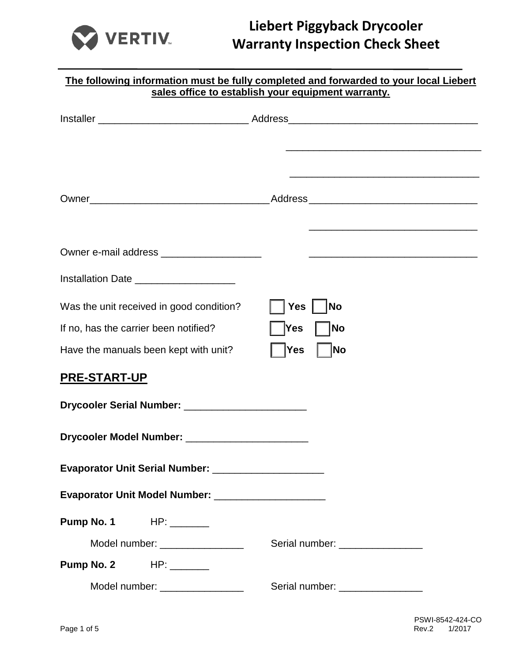

|                                                         | The following information must be fully completed and forwarded to your local Liebert                                |
|---------------------------------------------------------|----------------------------------------------------------------------------------------------------------------------|
|                                                         | sales office to establish your equipment warranty.                                                                   |
|                                                         |                                                                                                                      |
|                                                         |                                                                                                                      |
|                                                         |                                                                                                                      |
|                                                         |                                                                                                                      |
|                                                         |                                                                                                                      |
|                                                         | <u> 1989 - Johann John Harry Harry Harry Harry Harry Harry Harry Harry Harry Harry Harry Harry Harry Harry Harry</u> |
| Owner e-mail address ______________________             |                                                                                                                      |
| Installation Date _____________________                 |                                                                                                                      |
| Was the unit received in good condition?                | <b>No</b><br><b>Yes</b>                                                                                              |
| If no, has the carrier been notified?                   | Yes<br><b>No</b>                                                                                                     |
| Have the manuals been kept with unit?                   | No<br><b>Yes</b>                                                                                                     |
| PRE-START-UP                                            |                                                                                                                      |
| Drycooler Serial Number: _________________________      |                                                                                                                      |
| Drycooler Model Number: ________________________        |                                                                                                                      |
| Evaporator Unit Serial Number: ________________________ |                                                                                                                      |
| Evaporator Unit Model Number: _____________________     |                                                                                                                      |
| <b>Pump No. 1</b> HP: ________                          |                                                                                                                      |
| Model number: ________________                          | Serial number: _________________                                                                                     |
| <b>Pump No. 2</b> HP: _______                           |                                                                                                                      |
| Model number: ________________                          | Serial number: _________________                                                                                     |
|                                                         |                                                                                                                      |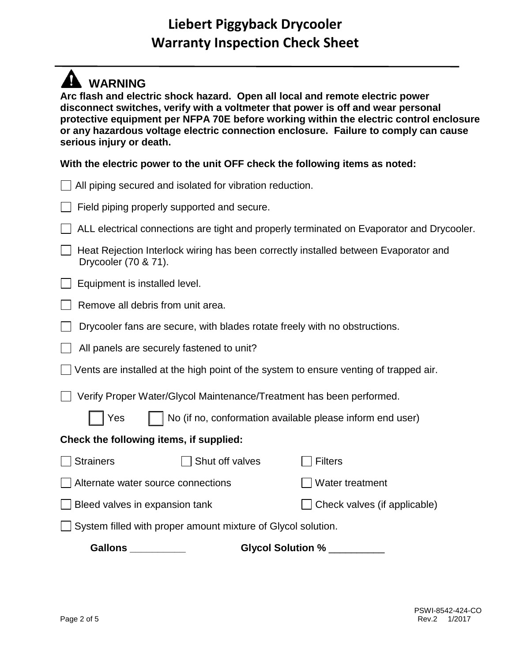## **WARNING**

**Arc flash and electric shock hazard. Open all local and remote electric power disconnect switches, verify with a voltmeter that power is off and wear personal protective equipment per NFPA 70E before working within the electric control enclosure or any hazardous voltage electric connection enclosure. Failure to comply can cause serious injury or death.**

#### **With the electric power to the unit OFF check the following items as noted:**

| <b>Gallons</b><br>Glycol Solution %                                                                         |                              |  |  |  |
|-------------------------------------------------------------------------------------------------------------|------------------------------|--|--|--|
| System filled with proper amount mixture of Glycol solution.                                                |                              |  |  |  |
| Bleed valves in expansion tank                                                                              | Check valves (if applicable) |  |  |  |
| Alternate water source connections                                                                          | Water treatment              |  |  |  |
| <b>Strainers</b><br>Shut off valves                                                                         | <b>Filters</b>               |  |  |  |
| Check the following items, if supplied:                                                                     |                              |  |  |  |
| Yes<br>No (if no, conformation available please inform end user)                                            |                              |  |  |  |
| Verify Proper Water/Glycol Maintenance/Treatment has been performed.                                        |                              |  |  |  |
| Vents are installed at the high point of the system to ensure venting of trapped air.                       |                              |  |  |  |
| All panels are securely fastened to unit?                                                                   |                              |  |  |  |
| Drycooler fans are secure, with blades rotate freely with no obstructions.                                  |                              |  |  |  |
| Remove all debris from unit area.                                                                           |                              |  |  |  |
| Equipment is installed level.                                                                               |                              |  |  |  |
| Heat Rejection Interlock wiring has been correctly installed between Evaporator and<br>Drycooler (70 & 71). |                              |  |  |  |
| ALL electrical connections are tight and properly terminated on Evaporator and Drycooler.                   |                              |  |  |  |
| Field piping properly supported and secure.                                                                 |                              |  |  |  |
| All piping secured and isolated for vibration reduction.                                                    |                              |  |  |  |
|                                                                                                             |                              |  |  |  |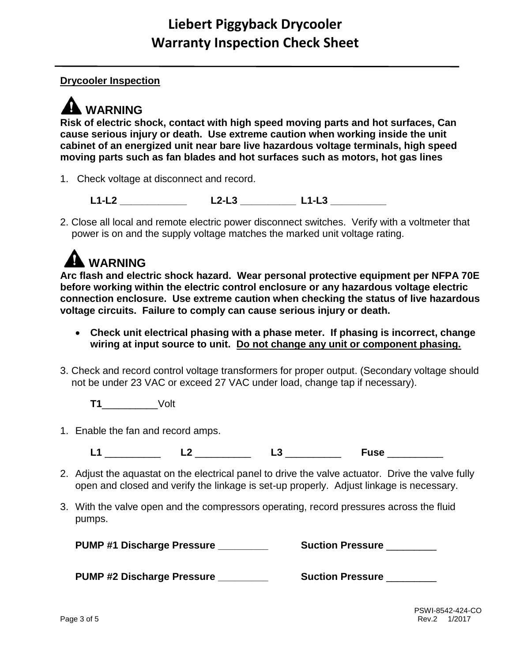#### **Drycooler Inspection**

# **A** WARNING

**Risk of electric shock, contact with high speed moving parts and hot surfaces, Can cause serious injury or death. Use extreme caution when working inside the unit cabinet of an energized unit near bare live hazardous voltage terminals, high speed moving parts such as fan blades and hot surfaces such as motors, hot gas lines**

1. Check voltage at disconnect and record.

**L1-L2 \_\_\_\_\_\_\_\_\_\_\_\_ L2-L3 \_\_\_\_\_\_\_\_\_\_ L1-L3 \_\_\_\_\_\_\_\_\_\_** 

2. Close all local and remote electric power disconnect switches. Verify with a voltmeter that power is on and the supply voltage matches the marked unit voltage rating.

# **A** WARNING

**Arc flash and electric shock hazard. Wear personal protective equipment per NFPA 70E before working within the electric control enclosure or any hazardous voltage electric connection enclosure. Use extreme caution when checking the status of live hazardous voltage circuits. Failure to comply can cause serious injury or death.**

- **Check unit electrical phasing with a phase meter. If phasing is incorrect, change wiring at input source to unit. Do not change any unit or component phasing.**
- 3. Check and record control voltage transformers for proper output. (Secondary voltage should not be under 23 VAC or exceed 27 VAC under load, change tap if necessary).

**T1**\_\_\_\_\_\_\_\_\_\_Volt

1. Enable the fan and record amps.

**L1** \_\_\_\_\_\_\_\_\_\_ **L2** \_\_\_\_\_\_\_\_\_\_ **L3** \_\_\_\_\_\_\_\_\_\_ **Fuse** \_\_\_\_\_\_\_\_\_\_

- 2. Adjust the aquastat on the electrical panel to drive the valve actuator. Drive the valve fully open and closed and verify the linkage is set-up properly. Adjust linkage is necessary.
- 3. With the valve open and the compressors operating, record pressures across the fluid pumps.

| <b>PUMP #1 Discharge Pressure</b> | <b>Suction Pressure</b> |
|-----------------------------------|-------------------------|
|                                   |                         |

**PUMP #2 Discharge Pressure \_\_\_\_\_\_\_\_\_ Suction Pressure** \_\_\_\_\_\_\_\_\_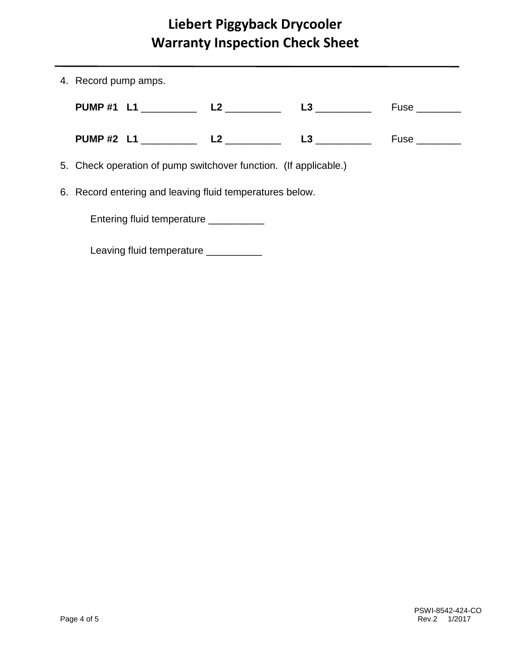| 4. Record pump amps.                                             |                                      |                     |  |                               |
|------------------------------------------------------------------|--------------------------------------|---------------------|--|-------------------------------|
|                                                                  |                                      | PUMP #1 L1 L2 L2 L3 |  | $Fuse$ <sub>__________</sub>  |
|                                                                  |                                      | PUMP #2 L1 L2 L2 L3 |  | $Fuse$ <sub>___________</sub> |
| 5. Check operation of pump switchover function. (If applicable.) |                                      |                     |  |                               |
| 6. Record entering and leaving fluid temperatures below.         |                                      |                     |  |                               |
| Entering fluid temperature _________                             |                                      |                     |  |                               |
|                                                                  | Leaving fluid temperature __________ |                     |  |                               |